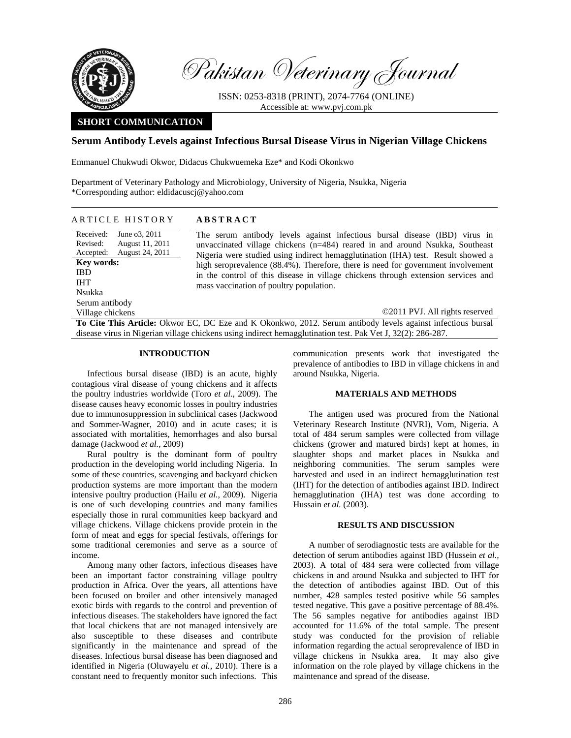

Pakistan Veterinary Journal

ISSN: 0253-8318 (PRINT), 2074-7764 (ONLINE) Accessible at: www.pvj.com.pk

# **SHORT COMMUNICATION**

# **Serum Antibody Levels against Infectious Bursal Disease Virus in Nigerian Village Chickens**

Emmanuel Chukwudi Okwor, Didacus Chukwuemeka Eze\* and Kodi Okonkwo

Department of Veterinary Pathology and Microbiology, University of Nigeria, Nsukka, Nigeria \*Corresponding author: eldidacuscj@yahoo.com

| ARTICLE HISTORY                                                                                                                                      | <b>ABSTRACT</b>                                                                                                                                                                                                                                                                                                                                                                                                                                                      |
|------------------------------------------------------------------------------------------------------------------------------------------------------|----------------------------------------------------------------------------------------------------------------------------------------------------------------------------------------------------------------------------------------------------------------------------------------------------------------------------------------------------------------------------------------------------------------------------------------------------------------------|
| Received:<br>June 03, 2011<br>Revised:<br>August 11, 2011<br>August 24, 2011<br>Accepted:<br><b>Key words:</b><br><b>IBD</b><br><b>IHT</b><br>Nsukka | The serum antibody levels against infectious bursal disease (IBD) virus in<br>unvaccinated village chickens $(n=484)$ reared in and around Nsukka, Southeast<br>Nigeria were studied using indirect hemagglutination (IHA) test. Result showed a<br>high seroprevalence (88.4%). Therefore, there is need for government involvement<br>in the control of this disease in village chickens through extension services and<br>mass vaccination of poultry population. |
| Serum antibody                                                                                                                                       |                                                                                                                                                                                                                                                                                                                                                                                                                                                                      |
| Village chickens                                                                                                                                     | ©2011 PVJ. All rights reserved                                                                                                                                                                                                                                                                                                                                                                                                                                       |
| To Cita This Antiola: Okwar EC DC Eze and V Okankwa 2012, Sarum antibody lavels against infectious bursel                                            |                                                                                                                                                                                                                                                                                                                                                                                                                                                                      |

**This Article:** Okwor EC, DC Eze and K Okonkwo, 2012. Serum antibody levels against infectious bursal disease virus in Nigerian village chickens using indirect hemagglutination test. Pak Vet J, 32(2): 286-287.

# **INTRODUCTION**

Infectious bursal disease (IBD) is an acute, highly contagious viral disease of young chickens and it affects the poultry industries worldwide (Toro *et al*., 2009). The disease causes heavy economic losses in poultry industries due to immunosuppression in subclinical cases (Jackwood and Sommer-Wagner, 2010) and in acute cases; it is associated with mortalities, hemorrhages and also bursal damage (Jackwood *et al.,* 2009)

Rural poultry is the dominant form of poultry production in the developing world including Nigeria. In some of these countries, scavenging and backyard chicken production systems are more important than the modern intensive poultry production (Hailu *et al.,* 2009). Nigeria is one of such developing countries and many families especially those in rural communities keep backyard and village chickens. Village chickens provide protein in the form of meat and eggs for special festivals, offerings for some traditional ceremonies and serve as a source of income.

Among many other factors, infectious diseases have been an important factor constraining village poultry production in Africa. Over the years, all attentions have been focused on broiler and other intensively managed exotic birds with regards to the control and prevention of infectious diseases. The stakeholders have ignored the fact that local chickens that are not managed intensively are also susceptible to these diseases and contribute significantly in the maintenance and spread of the diseases. Infectious bursal disease has been diagnosed and identified in Nigeria (Oluwayelu *et al.,* 2010). There is a constant need to frequently monitor such infections. This

communication presents work that investigated the prevalence of antibodies to IBD in village chickens in and around Nsukka, Nigeria.

### **MATERIALS AND METHODS**

The antigen used was procured from the National Veterinary Research Institute (NVRI), Vom, Nigeria. A total of 484 serum samples were collected from village chickens (grower and matured birds) kept at homes, in slaughter shops and market places in Nsukka and neighboring communities. The serum samples were harvested and used in an indirect hemagglutination test (IHT) for the detection of antibodies against IBD. Indirect hemagglutination (IHA) test was done according to Hussain *et al.* (2003).

### **RESULTS AND DISCUSSION**

A number of serodiagnostic tests are available for the detection of serum antibodies against IBD (Hussein *et al.,* 2003). A total of 484 sera were collected from village chickens in and around Nsukka and subjected to IHT for the detection of antibodies against IBD. Out of this number, 428 samples tested positive while 56 samples tested negative. This gave a positive percentage of 88.4%. The 56 samples negative for antibodies against IBD accounted for 11.6% of the total sample. The present study was conducted for the provision of reliable information regarding the actual seroprevalence of IBD in village chickens in Nsukka area. It may also give information on the role played by village chickens in the maintenance and spread of the disease.